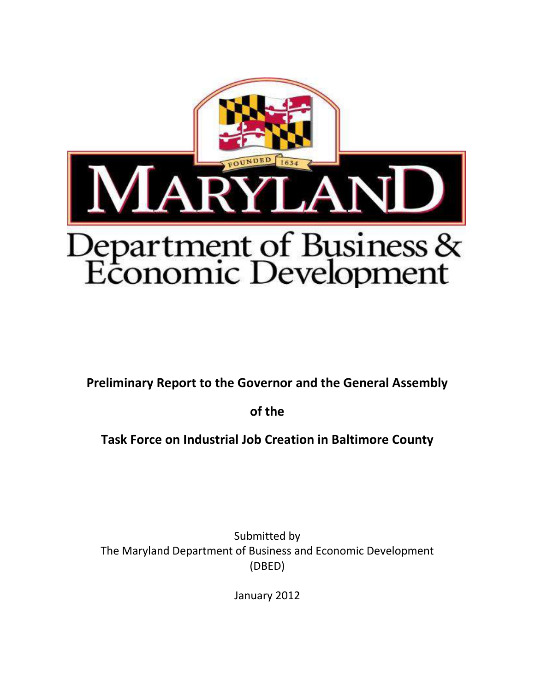

**Preliminary Report to the Governor and the General Assembly**

**of the**

**Task Force on Industrial Job Creation in Baltimore County**

Submitted by The Maryland Department of Business and Economic Development (DBED)

January 2012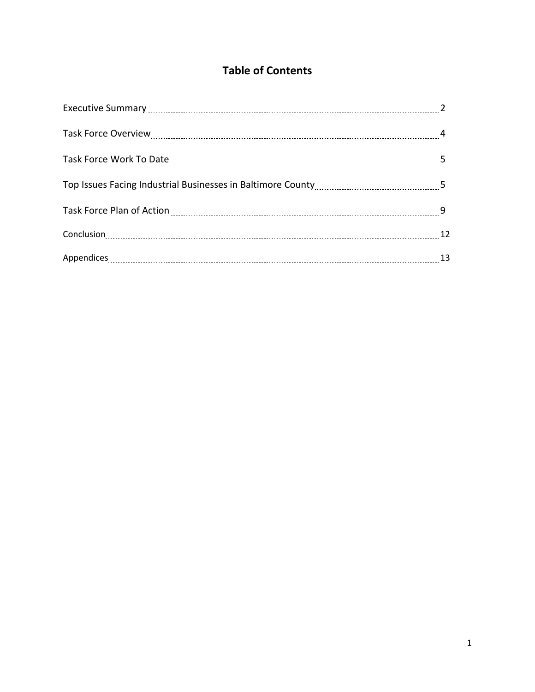# **Table of Contents**

| Appendices 13 |  |
|---------------|--|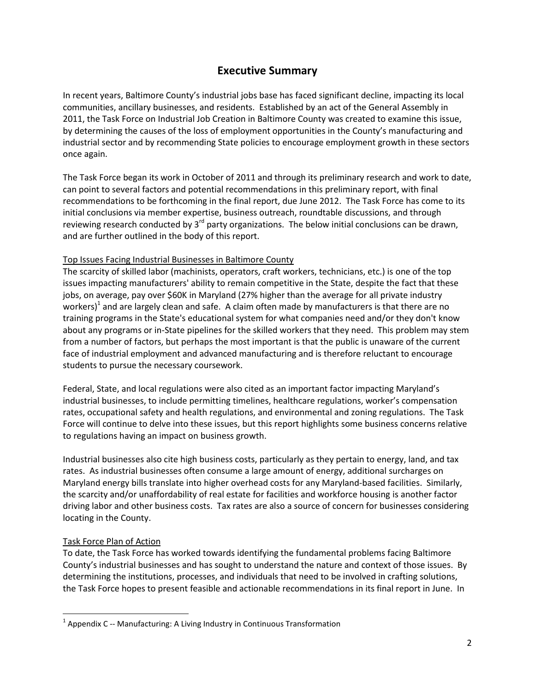# **Executive Summary**

In recent years, Baltimore County's industrial jobs base has faced significant decline, impacting its local communities, ancillary businesses, and residents. Established by an act of the General Assembly in 2011, the Task Force on Industrial Job Creation in Baltimore County was created to examine this issue, by determining the causes of the loss of employment opportunities in the County's manufacturing and industrial sector and by recommending State policies to encourage employment growth in these sectors once again.

The Task Force began its work in October of 2011 and through its preliminary research and work to date, can point to several factors and potential recommendations in this preliminary report, with final recommendations to be forthcoming in the final report, due June 2012. The Task Force has come to its initial conclusions via member expertise, business outreach, roundtable discussions, and through reviewing research conducted by  $3^{rd}$  party organizations. The below initial conclusions can be drawn, and are further outlined in the body of this report.

# Top Issues Facing Industrial Businesses in Baltimore County

The scarcity of skilled labor (machinists, operators, craft workers, technicians, etc.) is one of the top issues impacting manufacturers' ability to remain competitive in the State, despite the fact that these jobs, on average, pay over \$60K in Maryland (27% higher than the average for all private industry workers)<sup>1</sup> and are largely clean and safe. A claim often made by manufacturers is that there are no training programs in the State's educational system for what companies need and/or they don't know about any programs or in-State pipelines for the skilled workers that they need. This problem may stem from a number of factors, but perhaps the most important is that the public is unaware of the current face of industrial employment and advanced manufacturing and is therefore reluctant to encourage students to pursue the necessary coursework.

Federal, State, and local regulations were also cited as an important factor impacting Maryland's industrial businesses, to include permitting timelines, healthcare regulations, worker's compensation rates, occupational safety and health regulations, and environmental and zoning regulations. The Task Force will continue to delve into these issues, but this report highlights some business concerns relative to regulations having an impact on business growth.

Industrial businesses also cite high business costs, particularly as they pertain to energy, land, and tax rates. As industrial businesses often consume a large amount of energy, additional surcharges on Maryland energy bills translate into higher overhead costs for any Maryland-based facilities. Similarly, the scarcity and/or unaffordability of real estate for facilities and workforce housing is another factor driving labor and other business costs. Tax rates are also a source of concern for businesses considering locating in the County.

### Task Force Plan of Action

 $\overline{\phantom{a}}$ 

To date, the Task Force has worked towards identifying the fundamental problems facing Baltimore County's industrial businesses and has sought to understand the nature and context of those issues. By determining the institutions, processes, and individuals that need to be involved in crafting solutions, the Task Force hopes to present feasible and actionable recommendations in its final report in June. In

 $^1$  Appendix C -- Manufacturing: A Living Industry in Continuous Transformation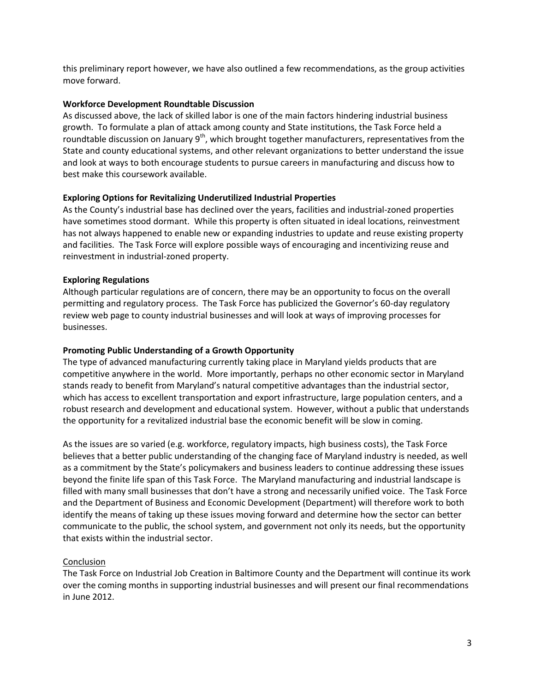this preliminary report however, we have also outlined a few recommendations, as the group activities move forward.

#### **Workforce Development Roundtable Discussion**

As discussed above, the lack of skilled labor is one of the main factors hindering industrial business growth. To formulate a plan of attack among county and State institutions, the Task Force held a roundtable discussion on January  $9<sup>th</sup>$ , which brought together manufacturers, representatives from the State and county educational systems, and other relevant organizations to better understand the issue and look at ways to both encourage students to pursue careers in manufacturing and discuss how to best make this coursework available.

### **Exploring Options for Revitalizing Underutilized Industrial Properties**

As the County's industrial base has declined over the years, facilities and industrial-zoned properties have sometimes stood dormant. While this property is often situated in ideal locations, reinvestment has not always happened to enable new or expanding industries to update and reuse existing property and facilities. The Task Force will explore possible ways of encouraging and incentivizing reuse and reinvestment in industrial-zoned property.

#### **Exploring Regulations**

Although particular regulations are of concern, there may be an opportunity to focus on the overall permitting and regulatory process. The Task Force has publicized the Governor's 60-day regulatory review web page to county industrial businesses and will look at ways of improving processes for businesses.

#### **Promoting Public Understanding of a Growth Opportunity**

The type of advanced manufacturing currently taking place in Maryland yields products that are competitive anywhere in the world. More importantly, perhaps no other economic sector in Maryland stands ready to benefit from Maryland's natural competitive advantages than the industrial sector, which has access to excellent transportation and export infrastructure, large population centers, and a robust research and development and educational system. However, without a public that understands the opportunity for a revitalized industrial base the economic benefit will be slow in coming.

As the issues are so varied (e.g. workforce, regulatory impacts, high business costs), the Task Force believes that a better public understanding of the changing face of Maryland industry is needed, as well as a commitment by the State's policymakers and business leaders to continue addressing these issues beyond the finite life span of this Task Force. The Maryland manufacturing and industrial landscape is filled with many small businesses that don't have a strong and necessarily unified voice. The Task Force and the Department of Business and Economic Development (Department) will therefore work to both identify the means of taking up these issues moving forward and determine how the sector can better communicate to the public, the school system, and government not only its needs, but the opportunity that exists within the industrial sector.

### Conclusion

The Task Force on Industrial Job Creation in Baltimore County and the Department will continue its work over the coming months in supporting industrial businesses and will present our final recommendations in June 2012.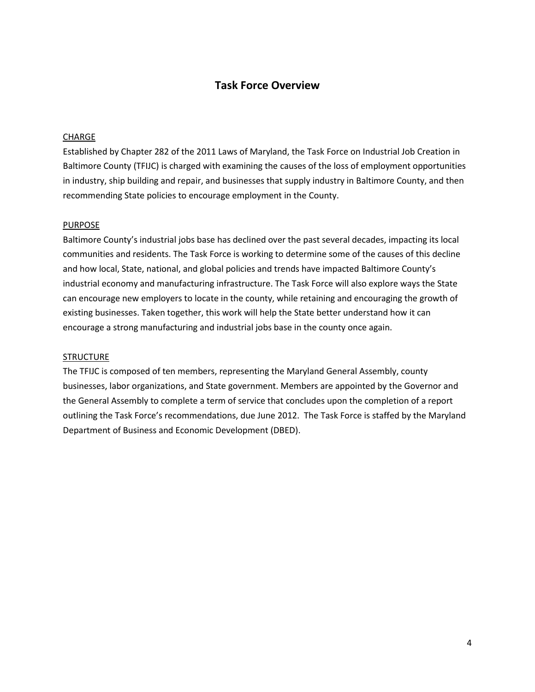# **Task Force Overview**

#### CHARGE

Established by Chapter 282 of the 2011 Laws of Maryland, the Task Force on Industrial Job Creation in Baltimore County (TFIJC) is charged with examining the causes of the loss of employment opportunities in industry, ship building and repair, and businesses that supply industry in Baltimore County, and then recommending State policies to encourage employment in the County.

#### **PURPOSE**

Baltimore County's industrial jobs base has declined over the past several decades, impacting its local communities and residents. The Task Force is working to determine some of the causes of this decline and how local, State, national, and global policies and trends have impacted Baltimore County's industrial economy and manufacturing infrastructure. The Task Force will also explore ways the State can encourage new employers to locate in the county, while retaining and encouraging the growth of existing businesses. Taken together, this work will help the State better understand how it can encourage a strong manufacturing and industrial jobs base in the county once again.

#### **STRUCTURE**

The TFIJC is composed of ten members, representing the Maryland General Assembly, county businesses, labor organizations, and State government. Members are appointed by the Governor and the General Assembly to complete a term of service that concludes upon the completion of a report outlining the Task Force's recommendations, due June 2012. The Task Force is staffed by the Maryland Department of Business and Economic Development (DBED).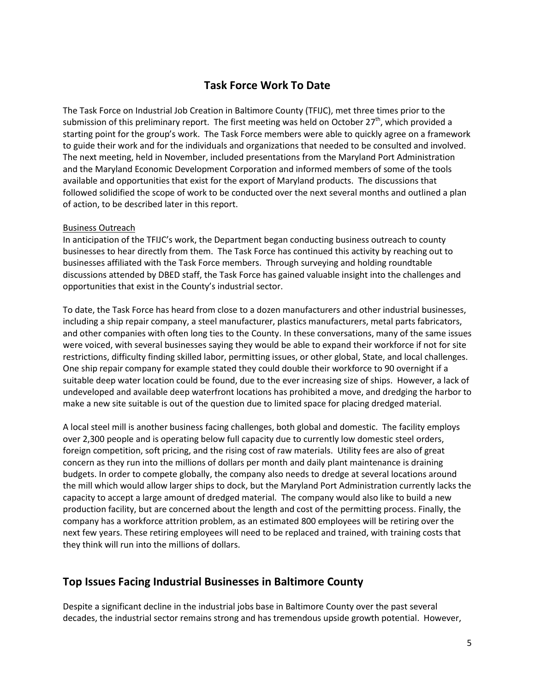# **Task Force Work To Date**

The Task Force on Industrial Job Creation in Baltimore County (TFIJC), met three times prior to the submission of this preliminary report. The first meeting was held on October  $27<sup>th</sup>$ , which provided a starting point for the group's work. The Task Force members were able to quickly agree on a framework to guide their work and for the individuals and organizations that needed to be consulted and involved. The next meeting, held in November, included presentations from the Maryland Port Administration and the Maryland Economic Development Corporation and informed members of some of the tools available and opportunities that exist for the export of Maryland products. The discussions that followed solidified the scope of work to be conducted over the next several months and outlined a plan of action, to be described later in this report.

### Business Outreach

In anticipation of the TFIJC's work, the Department began conducting business outreach to county businesses to hear directly from them. The Task Force has continued this activity by reaching out to businesses affiliated with the Task Force members. Through surveying and holding roundtable discussions attended by DBED staff, the Task Force has gained valuable insight into the challenges and opportunities that exist in the County's industrial sector.

To date, the Task Force has heard from close to a dozen manufacturers and other industrial businesses, including a ship repair company, a steel manufacturer, plastics manufacturers, metal parts fabricators, and other companies with often long ties to the County. In these conversations, many of the same issues were voiced, with several businesses saying they would be able to expand their workforce if not for site restrictions, difficulty finding skilled labor, permitting issues, or other global, State, and local challenges. One ship repair company for example stated they could double their workforce to 90 overnight if a suitable deep water location could be found, due to the ever increasing size of ships. However, a lack of undeveloped and available deep waterfront locations has prohibited a move, and dredging the harbor to make a new site suitable is out of the question due to limited space for placing dredged material.

A local steel mill is another business facing challenges, both global and domestic. The facility employs over 2,300 people and is operating below full capacity due to currently low domestic steel orders, foreign competition, soft pricing, and the rising cost of raw materials. Utility fees are also of great concern as they run into the millions of dollars per month and daily plant maintenance is draining budgets. In order to compete globally, the company also needs to dredge at several locations around the mill which would allow larger ships to dock, but the Maryland Port Administration currently lacks the capacity to accept a large amount of dredged material. The company would also like to build a new production facility, but are concerned about the length and cost of the permitting process. Finally, the company has a workforce attrition problem, as an estimated 800 employees will be retiring over the next few years. These retiring employees will need to be replaced and trained, with training costs that they think will run into the millions of dollars.

# **Top Issues Facing Industrial Businesses in Baltimore County**

Despite a significant decline in the industrial jobs base in Baltimore County over the past several decades, the industrial sector remains strong and has tremendous upside growth potential. However,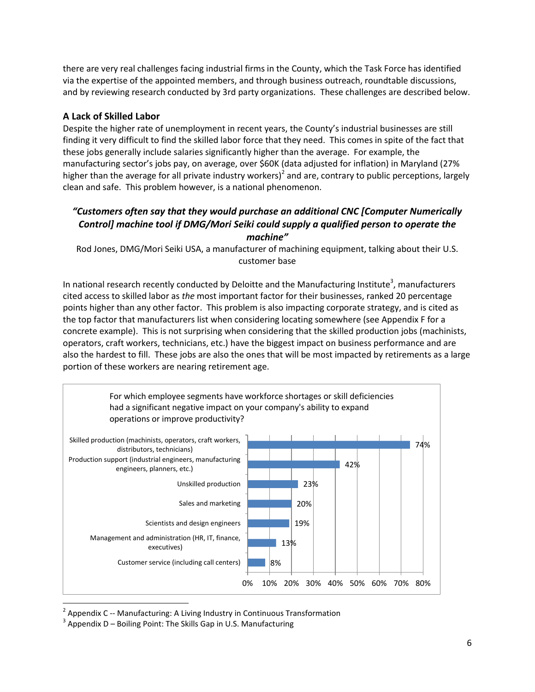there are very real challenges facing industrial firms in the County, which the Task Force has identified via the expertise of the appointed members, and through business outreach, roundtable discussions, and by reviewing research conducted by 3rd party organizations. These challenges are described below.

# **A Lack of Skilled Labor**

Despite the higher rate of unemployment in recent years, the County's industrial businesses are still finding it very difficult to find the skilled labor force that they need. This comes in spite of the fact that these jobs generally include salaries significantly higher than the average. For example, the manufacturing sector's jobs pay, on average, over \$60K (data adjusted for inflation) in Maryland (27% higher than the average for all private industry workers)<sup>2</sup> and are, contrary to public perceptions, largely clean and safe. This problem however, is a national phenomenon.

# *"Customers often say that they would purchase an additional CNC [Computer Numerically Control] machine tool if DMG/Mori Seiki could supply a qualified person to operate the machine"*

Rod Jones, DMG/Mori Seiki USA, a manufacturer of machining equipment, talking about their U.S. customer base

In national research recently conducted by Deloitte and the Manufacturing Institute<sup>3</sup>, manufacturers cited access to skilled labor as *the* most important factor for their businesses, ranked 20 percentage points higher than any other factor. This problem is also impacting corporate strategy, and is cited as the top factor that manufacturers list when considering locating somewhere (see Appendix F for a concrete example). This is not surprising when considering that the skilled production jobs (machinists, operators, craft workers, technicians, etc.) have the biggest impact on business performance and are also the hardest to fill. These jobs are also the ones that will be most impacted by retirements as a large portion of these workers are nearing retirement age.



<sup>2</sup> Appendix C -- Manufacturing: A Living Industry in Continuous Transformation

 $3$  Appendix D – Boiling Point: The Skills Gap in U.S. Manufacturing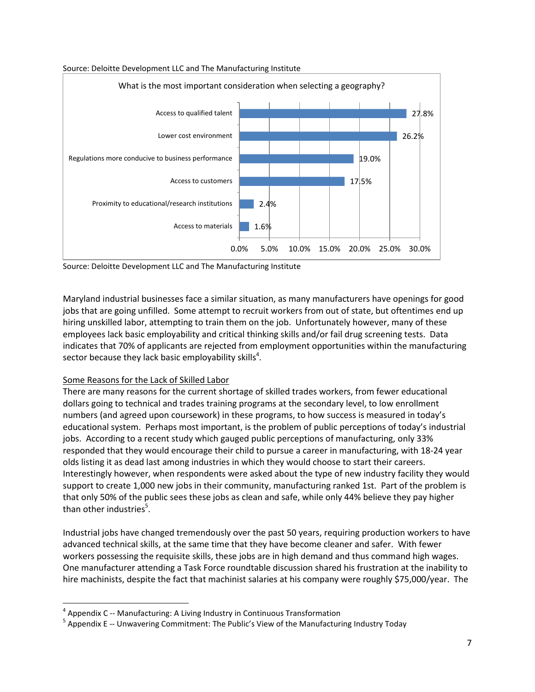

#### Source: Deloitte Development LLC and The Manufacturing Institute



Maryland industrial businesses face a similar situation, as many manufacturers have openings for good jobs that are going unfilled. Some attempt to recruit workers from out of state, but oftentimes end up hiring unskilled labor, attempting to train them on the job. Unfortunately however, many of these employees lack basic employability and critical thinking skills and/or fail drug screening tests. Data indicates that 70% of applicants are rejected from employment opportunities within the manufacturing sector because they lack basic employability skills<sup>4</sup>.

# Some Reasons for the Lack of Skilled Labor

l

There are many reasons for the current shortage of skilled trades workers, from fewer educational dollars going to technical and trades training programs at the secondary level, to low enrollment numbers (and agreed upon coursework) in these programs, to how success is measured in today's educational system. Perhaps most important, is the problem of public perceptions of today's industrial jobs. According to a recent study which gauged public perceptions of manufacturing, only 33% responded that they would encourage their child to pursue a career in manufacturing, with 18-24 year olds listing it as dead last among industries in which they would choose to start their careers. Interestingly however, when respondents were asked about the type of new industry facility they would support to create 1,000 new jobs in their community, manufacturing ranked 1st. Part of the problem is that only 50% of the public sees these jobs as clean and safe, while only 44% believe they pay higher than other industries<sup>5</sup>.

Industrial jobs have changed tremendously over the past 50 years, requiring production workers to have advanced technical skills, at the same time that they have become cleaner and safer. With fewer workers possessing the requisite skills, these jobs are in high demand and thus command high wages. One manufacturer attending a Task Force roundtable discussion shared his frustration at the inability to hire machinists, despite the fact that machinist salaries at his company were roughly \$75,000/year. The

<sup>&</sup>lt;sup>4</sup> Appendix C -- Manufacturing: A Living Industry in Continuous Transformation

<sup>&</sup>lt;sup>5</sup> Appendix E -- Unwavering Commitment: The Public's View of the Manufacturing Industry Today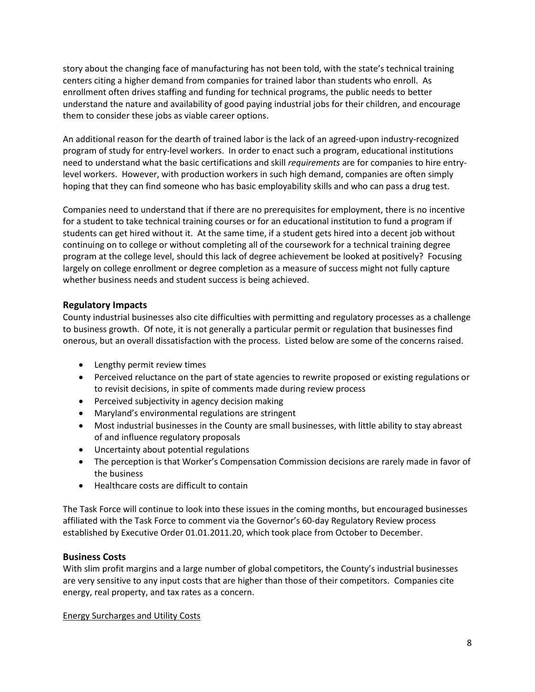story about the changing face of manufacturing has not been told, with the state's technical training centers citing a higher demand from companies for trained labor than students who enroll. As enrollment often drives staffing and funding for technical programs, the public needs to better understand the nature and availability of good paying industrial jobs for their children, and encourage them to consider these jobs as viable career options.

An additional reason for the dearth of trained labor is the lack of an agreed-upon industry-recognized program of study for entry-level workers. In order to enact such a program, educational institutions need to understand what the basic certifications and skill *requirements* are for companies to hire entrylevel workers. However, with production workers in such high demand, companies are often simply hoping that they can find someone who has basic employability skills and who can pass a drug test.

Companies need to understand that if there are no prerequisites for employment, there is no incentive for a student to take technical training courses or for an educational institution to fund a program if students can get hired without it. At the same time, if a student gets hired into a decent job without continuing on to college or without completing all of the coursework for a technical training degree program at the college level, should this lack of degree achievement be looked at positively? Focusing largely on college enrollment or degree completion as a measure of success might not fully capture whether business needs and student success is being achieved.

# **Regulatory Impacts**

County industrial businesses also cite difficulties with permitting and regulatory processes as a challenge to business growth. Of note, it is not generally a particular permit or regulation that businesses find onerous, but an overall dissatisfaction with the process. Listed below are some of the concerns raised.

- Lengthy permit review times
- Perceived reluctance on the part of state agencies to rewrite proposed or existing regulations or to revisit decisions, in spite of comments made during review process
- Perceived subjectivity in agency decision making
- Maryland's environmental regulations are stringent
- Most industrial businesses in the County are small businesses, with little ability to stay abreast of and influence regulatory proposals
- Uncertainty about potential regulations
- The perception is that Worker's Compensation Commission decisions are rarely made in favor of the business
- Healthcare costs are difficult to contain

The Task Force will continue to look into these issues in the coming months, but encouraged businesses affiliated with the Task Force to comment via the Governor's 60-day Regulatory Review process established by Executive Order 01.01.2011.20, which took place from October to December.

# **Business Costs**

With slim profit margins and a large number of global competitors, the County's industrial businesses are very sensitive to any input costs that are higher than those of their competitors. Companies cite energy, real property, and tax rates as a concern.

Energy Surcharges and Utility Costs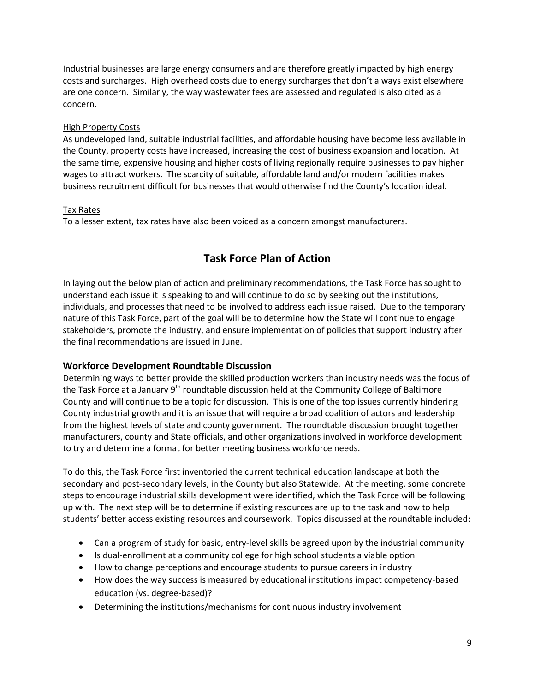Industrial businesses are large energy consumers and are therefore greatly impacted by high energy costs and surcharges. High overhead costs due to energy surcharges that don't always exist elsewhere are one concern. Similarly, the way wastewater fees are assessed and regulated is also cited as a concern.

# High Property Costs

As undeveloped land, suitable industrial facilities, and affordable housing have become less available in the County, property costs have increased, increasing the cost of business expansion and location. At the same time, expensive housing and higher costs of living regionally require businesses to pay higher wages to attract workers. The scarcity of suitable, affordable land and/or modern facilities makes business recruitment difficult for businesses that would otherwise find the County's location ideal.

### Tax Rates

To a lesser extent, tax rates have also been voiced as a concern amongst manufacturers.

# **Task Force Plan of Action**

In laying out the below plan of action and preliminary recommendations, the Task Force has sought to understand each issue it is speaking to and will continue to do so by seeking out the institutions, individuals, and processes that need to be involved to address each issue raised. Due to the temporary nature of this Task Force, part of the goal will be to determine how the State will continue to engage stakeholders, promote the industry, and ensure implementation of policies that support industry after the final recommendations are issued in June.

# **Workforce Development Roundtable Discussion**

Determining ways to better provide the skilled production workers than industry needs was the focus of the Task Force at a January  $9<sup>th</sup>$  roundtable discussion held at the Community College of Baltimore County and will continue to be a topic for discussion. This is one of the top issues currently hindering County industrial growth and it is an issue that will require a broad coalition of actors and leadership from the highest levels of state and county government. The roundtable discussion brought together manufacturers, county and State officials, and other organizations involved in workforce development to try and determine a format for better meeting business workforce needs.

To do this, the Task Force first inventoried the current technical education landscape at both the secondary and post-secondary levels, in the County but also Statewide. At the meeting, some concrete steps to encourage industrial skills development were identified, which the Task Force will be following up with. The next step will be to determine if existing resources are up to the task and how to help students' better access existing resources and coursework. Topics discussed at the roundtable included:

- Can a program of study for basic, entry-level skills be agreed upon by the industrial community
- Is dual-enrollment at a community college for high school students a viable option
- How to change perceptions and encourage students to pursue careers in industry
- How does the way success is measured by educational institutions impact competency-based education (vs. degree-based)?
- Determining the institutions/mechanisms for continuous industry involvement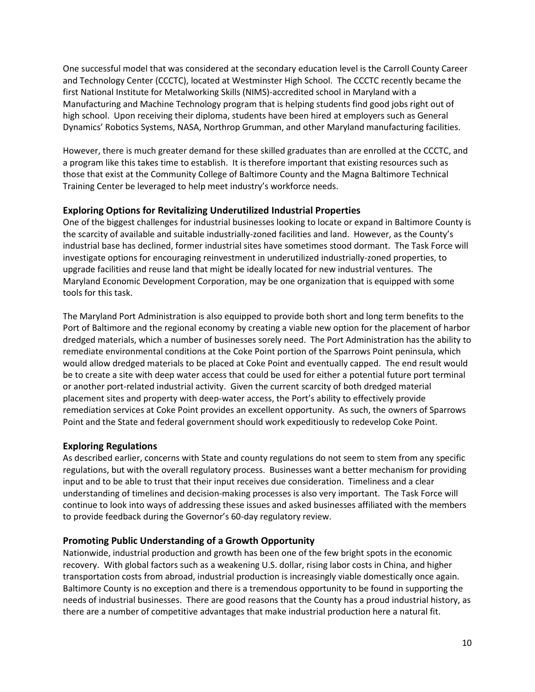One successful model that was considered at the secondary education level is the Carroll County Career and Technology Center (CCCTC), located at Westminster High School. The CCCTC recently became the first National Institute for Metalworking Skills (NIMS)-accredited school in Maryland with a Manufacturing and Machine Technology program that is helping students find good jobs right out of high school. Upon receiving their diploma, students have been hired at employers such as General Dynamics' Robotics Systems, NASA, Northrop Grumman, and other Maryland manufacturing facilities.

However, there is much greater demand for these skilled graduates than are enrolled at the CCCTC, and a program like this takes time to establish. It is therefore important that existing resources such as those that exist at the Community College of Baltimore County and the Magna Baltimore Technical Training Center be leveraged to help meet industry's workforce needs.

# **Exploring Options for Revitalizing Underutilized Industrial Properties**

One of the biggest challenges for industrial businesses looking to locate or expand in Baltimore County is the scarcity of available and suitable industrially-zoned facilities and land. However, as the County's industrial base has declined, former industrial sites have sometimes stood dormant. The Task Force will investigate options for encouraging reinvestment in underutilized industrially-zoned properties, to upgrade facilities and reuse land that might be ideally located for new industrial ventures. The Maryland Economic Development Corporation, may be one organization that is equipped with some tools for this task.

The Maryland Port Administration is also equipped to provide both short and long term benefits to the Port of Baltimore and the regional economy by creating a viable new option for the placement of harbor dredged materials, which a number of businesses sorely need. The Port Administration has the ability to remediate environmental conditions at the Coke Point portion of the Sparrows Point peninsula, which would allow dredged materials to be placed at Coke Point and eventually capped. The end result would be to create a site with deep water access that could be used for either a potential future port terminal or another port-related industrial activity. Given the current scarcity of both dredged material placement sites and property with deep-water access, the Port's ability to effectively provide remediation services at Coke Point provides an excellent opportunity. As such, the owners of Sparrows Point and the State and federal government should work expeditiously to redevelop Coke Point.

# **Exploring Regulations**

As described earlier, concerns with State and county regulations do not seem to stem from any specific regulations, but with the overall regulatory process. Businesses want a better mechanism for providing input and to be able to trust that their input receives due consideration. Timeliness and a clear understanding of timelines and decision-making processes is also very important. The Task Force will continue to look into ways of addressing these issues and asked businesses affiliated with the members to provide feedback during the Governor's 60-day regulatory review.

# **Promoting Public Understanding of a Growth Opportunity**

Nationwide, industrial production and growth has been one of the few bright spots in the economic recovery. With global factors such as a weakening U.S. dollar, rising labor costs in China, and higher transportation costs from abroad, industrial production is increasingly viable domestically once again. Baltimore County is no exception and there is a tremendous opportunity to be found in supporting the needs of industrial businesses. There are good reasons that the County has a proud industrial history, as there are a number of competitive advantages that make industrial production here a natural fit.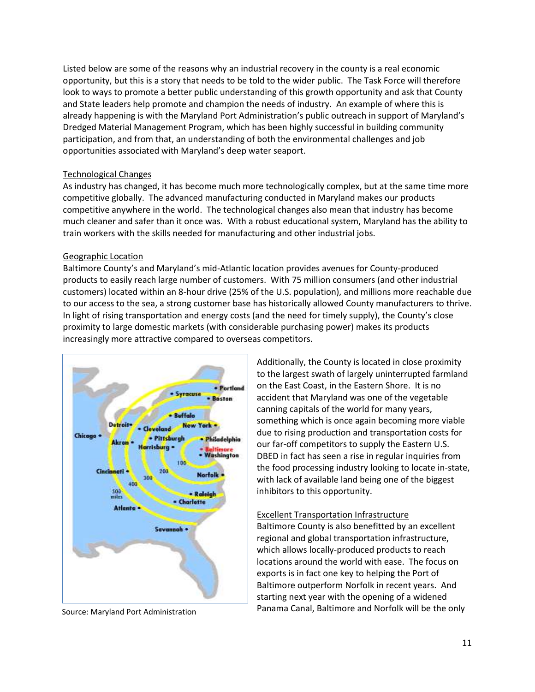Listed below are some of the reasons why an industrial recovery in the county is a real economic opportunity, but this is a story that needs to be told to the wider public. The Task Force will therefore look to ways to promote a better public understanding of this growth opportunity and ask that County and State leaders help promote and champion the needs of industry. An example of where this is already happening is with the Maryland Port Administration's public outreach in support of Maryland's Dredged Material Management Program, which has been highly successful in building community participation, and from that, an understanding of both the environmental challenges and job opportunities associated with Maryland's deep water seaport.

### Technological Changes

As industry has changed, it has become much more technologically complex, but at the same time more competitive globally. The advanced manufacturing conducted in Maryland makes our products competitive anywhere in the world. The technological changes also mean that industry has become much cleaner and safer than it once was. With a robust educational system, Maryland has the ability to train workers with the skills needed for manufacturing and other industrial jobs.

### Geographic Location

Baltimore County's and Maryland's mid-Atlantic location provides avenues for County-produced products to easily reach large number of customers. With 75 million consumers (and other industrial customers) located within an 8-hour drive (25% of the U.S. population), and millions more reachable due to our access to the sea, a strong customer base has historically allowed County manufacturers to thrive. In light of rising transportation and energy costs (and the need for timely supply), the County's close proximity to large domestic markets (with considerable purchasing power) makes its products increasingly more attractive compared to overseas competitors.



Additionally, the County is located in close proximity to the largest swath of largely uninterrupted farmland on the East Coast, in the Eastern Shore. It is no accident that Maryland was one of the vegetable canning capitals of the world for many years, something which is once again becoming more viable due to rising production and transportation costs for our far-off competitors to supply the Eastern U.S. DBED in fact has seen a rise in regular inquiries from the food processing industry looking to locate in-state, with lack of available land being one of the biggest inhibitors to this opportunity.

#### Excellent Transportation Infrastructure

Baltimore County is also benefitted by an excellent regional and global transportation infrastructure, which allows locally-produced products to reach locations around the world with ease. The focus on exports is in fact one key to helping the Port of Baltimore outperform Norfolk in recent years. And starting next year with the opening of a widened Panama Canal, Baltimore and Norfolk will be the only Source: Maryland Port Administration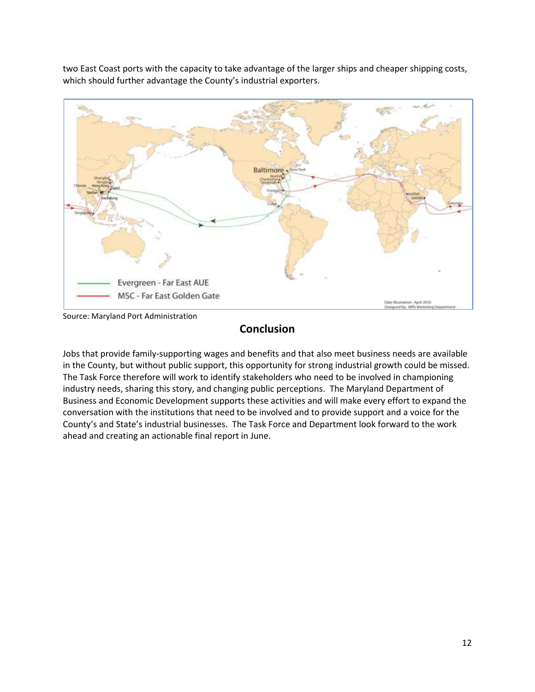two East Coast ports with the capacity to take advantage of the larger ships and cheaper shipping costs, which should further advantage the County's industrial exporters.



Source: Maryland Port Administration

# **Conclusion**

Jobs that provide family-supporting wages and benefits and that also meet business needs are available in the County, but without public support, this opportunity for strong industrial growth could be missed. The Task Force therefore will work to identify stakeholders who need to be involved in championing industry needs, sharing this story, and changing public perceptions. The Maryland Department of Business and Economic Development supports these activities and will make every effort to expand the conversation with the institutions that need to be involved and to provide support and a voice for the County's and State's industrial businesses. The Task Force and Department look forward to the work ahead and creating an actionable final report in June.